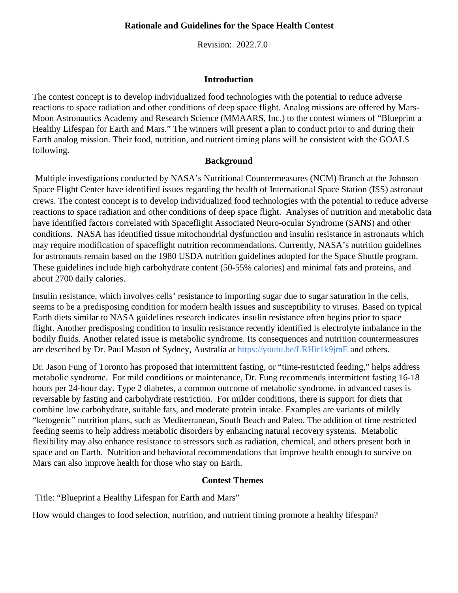#### **Rationale and Guidelines for the Space Health Contest**

Revision: 2022.7.0

#### **Introduction**

The contest concept is to develop individualized food technologies with the potential to reduce adverse reactions to space radiation and other conditions of deep space flight. Analog missions are offered by Mars-Moon Astronautics Academy and Research Science (MMAARS, Inc.) to the contest winners of "Blueprint a Healthy Lifespan for Earth and Mars." The winners will present a plan to conduct prior to and during their Earth analog mission. Their food, nutrition, and nutrient timing plans will be consistent with the GOALS following.

#### **Background**

 Multiple investigations conducted by NASA's Nutritional Countermeasures (NCM) Branch at the Johnson Space Flight Center have identified issues regarding the health of International Space Station (ISS) astronaut crews. The contest concept is to develop individualized food technologies with the potential to reduce adverse reactions to space radiation and other conditions of deep space flight. Analyses of nutrition and metabolic data have identified factors correlated with Spaceflight Associated Neuro-ocular Syndrome (SANS) and other conditions. NASA has identified tissue mitochondrial dysfunction and insulin resistance in astronauts which may require modification of spaceflight nutrition recommendations. Currently, NASA's nutrition guidelines for astronauts remain based on the 1980 USDA nutrition guidelines adopted for the Space Shuttle program. These guidelines include high carbohydrate content (50-55% calories) and minimal fats and proteins, and about 2700 daily calories.

Insulin resistance, which involves cells' resistance to importing sugar due to sugar saturation in the cells, seems to be a predisposing condition for modern health issues and susceptibility to viruses. Based on typical Earth diets similar to NASA guidelines research indicates insulin resistance often begins prior to space flight. Another predisposing condition to insulin resistance recently identified is electrolyte imbalance in the bodily fluids. Another related issue is metabolic syndrome. Its consequences and nutrition countermeasures are described by Dr. Paul Mason of Sydney, Australia at https://youtu.be/LRHir1k9jmE and others.

Dr. Jason Fung of Toronto has proposed that intermittent fasting, or "time-restricted feeding," helps address metabolic syndrome. For mild conditions or maintenance, Dr. Fung recommends intermittent fasting 16-18 hours per 24-hour day. Type 2 diabetes, a common outcome of metabolic syndrome, in advanced cases is reversable by fasting and carbohydrate restriction. For milder conditions, there is support for diets that combine low carbohydrate, suitable fats, and moderate protein intake. Examples are variants of mildly "ketogenic" nutrition plans, such as Mediterranean, South Beach and Paleo. The addition of time restricted feeding seems to help address metabolic disorders by enhancing natural recovery systems. Metabolic flexibility may also enhance resistance to stressors such as radiation, chemical, and others present both in space and on Earth. Nutrition and behavioral recommendations that improve health enough to survive on Mars can also improve health for those who stay on Earth.

#### **Contest Themes**

Title: "Blueprint a Healthy Lifespan for Earth and Mars"

How would changes to food selection, nutrition, and nutrient timing promote a healthy lifespan?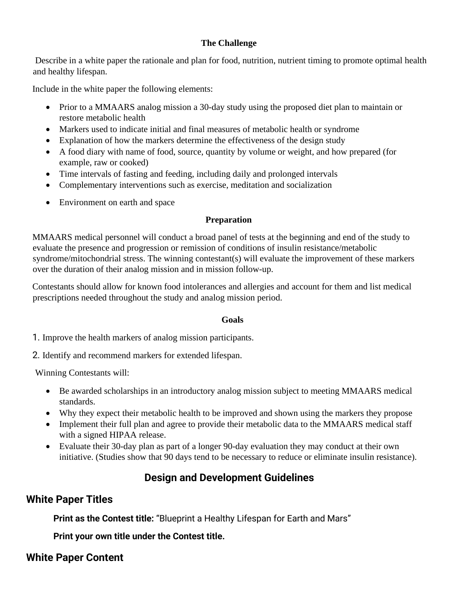### **The Challenge**

Describe in a white paper the rationale and plan for food, nutrition, nutrient timing to promote optimal health and healthy lifespan.

Include in the white paper the following elements:

- Prior to a MMAARS analog mission a 30-day study using the proposed diet plan to maintain or restore metabolic health
- Markers used to indicate initial and final measures of metabolic health or syndrome
- Explanation of how the markers determine the effectiveness of the design study
- A food diary with name of food, source, quantity by volume or weight, and how prepared (for example, raw or cooked)
- Time intervals of fasting and feeding, including daily and prolonged intervals
- Complementary interventions such as exercise, meditation and socialization
- Environment on earth and space

### **Preparation**

MMAARS medical personnel will conduct a broad panel of tests at the beginning and end of the study to evaluate the presence and progression or remission of conditions of insulin resistance/metabolic syndrome/mitochondrial stress. The winning contestant(s) will evaluate the improvement of these markers over the duration of their analog mission and in mission follow-up.

Contestants should allow for known food intolerances and allergies and account for them and list medical prescriptions needed throughout the study and analog mission period.

#### **Goals**

1. Improve the health markers of analog mission participants.

2. Identify and recommend markers for extended lifespan.

Winning Contestants will:

- Be awarded scholarships in an introductory analog mission subject to meeting MMAARS medical standards.
- Why they expect their metabolic health to be improved and shown using the markers they propose
- Implement their full plan and agree to provide their metabolic data to the MMAARS medical staff with a signed HIPAA release.
- Evaluate their 30-day plan as part of a longer 90-day evaluation they may conduct at their own initiative. (Studies show that 90 days tend to be necessary to reduce or eliminate insulin resistance).

# **Design and Development Guidelines**

## **White Paper Titles**

**Print as the Contest title:** "Blueprint a Healthy Lifespan for Earth and Mars"

**Print your own title under the Contest title.**

## **White Paper Content**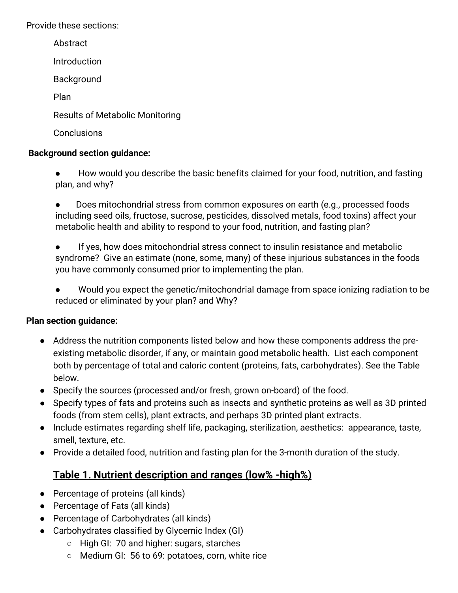Provide these sections:

Abstract Introduction Background Plan Results of Metabolic Monitoring **Conclusions** 

### **Background section guidance:**

How would you describe the basic benefits claimed for your food, nutrition, and fasting plan, and why?

Does mitochondrial stress from common exposures on earth (e.g., processed foods including seed oils, fructose, sucrose, pesticides, dissolved metals, food toxins) affect your metabolic health and ability to respond to your food, nutrition, and fasting plan?

● If yes, how does mitochondrial stress connect to insulin resistance and metabolic syndrome? Give an estimate (none, some, many) of these injurious substances in the foods you have commonly consumed prior to implementing the plan.

● Would you expect the genetic/mitochondrial damage from space ionizing radiation to be reduced or eliminated by your plan? and Why?

## **Plan section guidance:**

- Address the nutrition components listed below and how these components address the preexisting metabolic disorder, if any, or maintain good metabolic health. List each component both by percentage of total and caloric content (proteins, fats, carbohydrates). See the Table below.
- Specify the sources (processed and/or fresh, grown on-board) of the food.
- Specify types of fats and proteins such as insects and synthetic proteins as well as 3D printed foods (from stem cells), plant extracts, and perhaps 3D printed plant extracts.
- Include estimates regarding shelf life, packaging, sterilization, aesthetics: appearance, taste, smell, texture, etc.
- Provide a detailed food, nutrition and fasting plan for the 3-month duration of the study.

# **Table 1. Nutrient description and ranges (low% -high%)**

- Percentage of proteins (all kinds)
- Percentage of Fats (all kinds)
- Percentage of Carbohydrates (all kinds)
- Carbohydrates classified by Glycemic Index (GI)
	- High GI: 70 and higher: sugars, starches
	- Medium GI: 56 to 69: potatoes, corn, white rice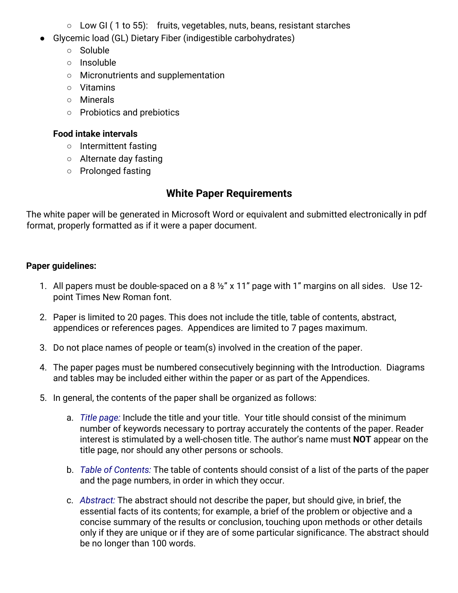- Low GI (1 to 55): fruits, vegetables, nuts, beans, resistant starches
- Glycemic load (GL) Dietary Fiber (indigestible carbohydrates)
	- Soluble
	- Insoluble
	- Micronutrients and supplementation
	- Vitamins
	- Minerals
	- Probiotics and prebiotics

### **Food intake intervals**

- Intermittent fasting
- Alternate day fasting
- Prolonged fasting

## **White Paper Requirements**

The white paper will be generated in Microsoft Word or equivalent and submitted electronically in pdf format, properly formatted as if it were a paper document.

### **Paper guidelines:**

- 1. All papers must be double-spaced on a 8 <sup>1/2</sup> x 11" page with 1" margins on all sides. Use 12point Times New Roman font.
- 2. Paper is limited to 20 pages. This does not include the title, table of contents, abstract, appendices or references pages. Appendices are limited to 7 pages maximum.
- 3. Do not place names of people or team(s) involved in the creation of the paper.
- 4. The paper pages must be numbered consecutively beginning with the Introduction. Diagrams and tables may be included either within the paper or as part of the Appendices.
- 5. In general, the contents of the paper shall be organized as follows:
	- a. *Title page:* Include the title and your title. Your title should consist of the minimum number of keywords necessary to portray accurately the contents of the paper. Reader interest is stimulated by a well-chosen title. The author's name must **NOT** appear on the title page, nor should any other persons or schools.
	- b. *Table of Contents:* The table of contents should consist of a list of the parts of the paper and the page numbers, in order in which they occur.
	- c. *Abstract:* The abstract should not describe the paper, but should give, in brief, the essential facts of its contents; for example, a brief of the problem or objective and a concise summary of the results or conclusion, touching upon methods or other details only if they are unique or if they are of some particular significance. The abstract should be no longer than 100 words.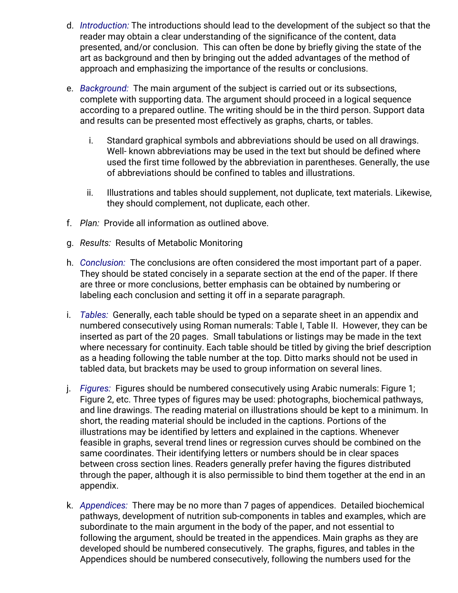- d. *Introduction:* The introductions should lead to the development of the subject so that the reader may obtain a clear understanding of the significance of the content, data presented, and/or conclusion. This can often be done by briefly giving the state of the art as background and then by bringing out the added advantages of the method of approach and emphasizing the importance of the results or conclusions.
- e. *Background:* The main argument of the subject is carried out or its subsections, complete with supporting data. The argument should proceed in a logical sequence according to a prepared outline. The writing should be in the third person. Support data and results can be presented most effectively as graphs, charts, or tables.
	- i. Standard graphical symbols and abbreviations should be used on all drawings. Well- known abbreviations may be used in the text but should be defined where used the first time followed by the abbreviation in parentheses. Generally, the use of abbreviations should be confined to tables and illustrations.
	- ii. Illustrations and tables should supplement, not duplicate, text materials. Likewise, they should complement, not duplicate, each other.
- f. *Plan:* Provide all information as outlined above.
- g. *Results:* Results of Metabolic Monitoring
- h. *Conclusion:* The conclusions are often considered the most important part of a paper. They should be stated concisely in a separate section at the end of the paper. If there are three or more conclusions, better emphasis can be obtained by numbering or labeling each conclusion and setting it off in a separate paragraph.
- i. *Tables:* Generally, each table should be typed on a separate sheet in an appendix and numbered consecutively using Roman numerals: Table I, Table II. However, they can be inserted as part of the 20 pages. Small tabulations or listings may be made in the text where necessary for continuity. Each table should be titled by giving the brief description as a heading following the table number at the top. Ditto marks should not be used in tabled data, but brackets may be used to group information on several lines.
- j. *Figures:* Figures should be numbered consecutively using Arabic numerals: Figure 1; Figure 2, etc. Three types of figures may be used: photographs, biochemical pathways, and line drawings. The reading material on illustrations should be kept to a minimum. In short, the reading material should be included in the captions. Portions of the illustrations may be identified by letters and explained in the captions. Whenever feasible in graphs, several trend lines or regression curves should be combined on the same coordinates. Their identifying letters or numbers should be in clear spaces between cross section lines. Readers generally prefer having the figures distributed through the paper, although it is also permissible to bind them together at the end in an appendix.
- k. *Appendices:* There may be no more than 7 pages of appendices. Detailed biochemical pathways, development of nutrition sub-components in tables and examples, which are subordinate to the main argument in the body of the paper, and not essential to following the argument, should be treated in the appendices. Main graphs as they are developed should be numbered consecutively. The graphs, figures, and tables in the Appendices should be numbered consecutively, following the numbers used for the